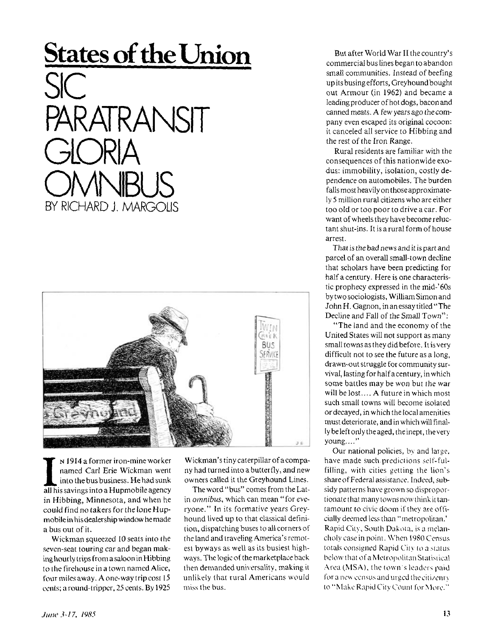## **States of the Union**

SIC PARATRANSIT OMNIBUS BY RICHARD J. MARGOLIS



**I** N 1914 a former iron-mine worker<br>
named Carl Erie Wickman went<br>
into the bus business. He had sunk<br>
all his savings into a Hupmobile agency N 1914 a former iron-mine worker named Carl Erie Wickman went into the bus business. He had sunk in Hibbing, Minnesota, and when he could find no takers for the lone Hupmobile in his dealership window he made a bus out of it.

Wickman squeezed 10 seats into the seven-seat touring car and began making hourly trips from a saloon in Hibbing to the firehouse in a town named Alice, four miles away. A one-way trip cost 15 cents; a round-tripper, 25 cents. By 1925

Wickman's tiny caterpillar of a company had turned into a butterfly, and new owners called it the Greyhound Lines.

The word "bus" comes from the Latin *omnibus*, which can mean "for everyone." In its formative years Greyhound lived up to that classical definition, dispatching buses to all corners of the land and traveling America's remotest byways as well as its busiest highways. The logic of the marketplace back then demanded universality, making it unlikely that rural Americans would miss the bus.

But after World War II the country's commercial bus lines began to abandon small communities. Instead of beefing up its busing efforts, Greyhound bought out Armour (in 1962) and became a leading producer of hot dogs, bacon and canned meats. A few years ago the company even escaped its original cocoon: it canceled all service to Hibbing and the rest of the Iron Range.

Rural residents are familiar with the consequences of this nationwide exodus: immobility, isolation, costly dependence on automobiles. The burden falls most heavily on those approximately 5 million rural citizens who are either too old or too poor to drive a car. For want of wheels they have become reluctant shut-ins. It is a rural form of house arrest.

That is the bad news and it is part and parcel of an overall small-town decline that scholars have been predicting for half a century. Here is one characteristic prophecy expressed in the mid-'60s by two sociologists, William Simon and John H. Gagnon, in an essay titled "The Decline and Fall of the Small Town":

"The land and the economy of the United States will not support as many small towns as they did before. It is very difficult not to see the future as a long, drawn-out struggle for community survival, lasting for halfacentury, in which some battles may be won but the war will be lost.... A future in which most such small towns will become isolated or decayed, in which the local amenities must deteriorate, and in which will finally be left only the aged, the inept, the very young...."

Our national policies, by and large, have made such predictions self-fulfilling, with cities getting the lion's share of Federal assistance. Indeed, subsidy patterns have grown so disproportionate that many towns now think it tantamount to civic doom if they are officially deemed less than "metropolitan.' Rapid City, South Dakota, is a melancholy case in point. When 1980Census totals consigned Rapid City to a status below that of a Metropolitan Statistical Area (MSA), the town's leaders paid for a new census and urged the citizenry lo "Make Rapid City Count for More."